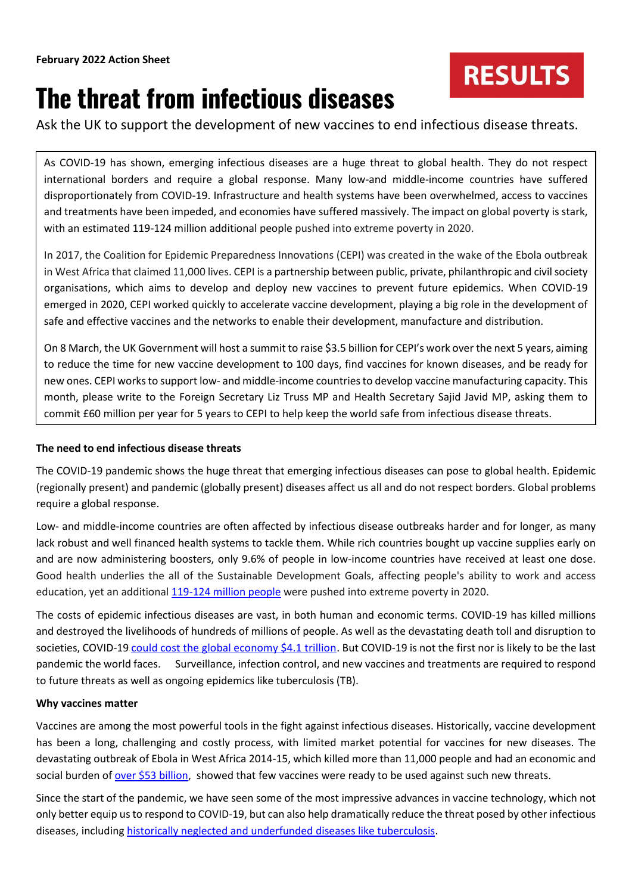# **RESULTS**

# **The threat from infectious diseases**

Ask the UK to support the development of new vaccines to end infectious disease threats.

As COVID-19 has shown, emerging infectious diseases are a huge threat to global health. They do not respect international borders and require a global response. Many low-and middle-income countries have suffered disproportionately from COVID-19. Infrastructure and health systems have been overwhelmed, access to vaccines and treatments have been impeded, and economies have suffered massively. The impact on global poverty is stark, with an estimated 119-124 million additional people pushed into extreme poverty in 2020.

In 2017, the Coalition for Epidemic Preparedness Innovations (CEPI) was created in the wake of the Ebola outbreak in West Africa that claimed 11,000 lives. CEPI is a partnership between public, private, philanthropic and civil society organisations, which aims to develop and deploy new vaccines to prevent future epidemics. When COVID-19 emerged in 2020, CEPI worked quickly to accelerate vaccine development, playing a big role in the development of safe and effective vaccines and the networks to enable their development, manufacture and distribution.

On 8 March, the UK Government will host a summit to raise \$3.5 billion for CEPI's work over the next 5 years, aiming to reduce the time for new vaccine development to 100 days, find vaccines for known diseases, and be ready for new ones. CEPI works to support low- and middle-income countries to develop vaccine manufacturing capacity. This month, please write to the Foreign Secretary Liz Truss MP and Health Secretary Sajid Javid MP, asking them to commit £60 million per year for 5 years to CEPI to help keep the world safe from infectious disease threats.

## **The need to end infectious disease threats**

The COVID-19 pandemic shows the huge threat that emerging infectious diseases can pose to global health. Epidemic (regionally present) and pandemic (globally present) diseases affect us all and do not respect borders. Global problems require a global response.

Low- and middle-income countries are often affected by infectious disease outbreaks harder and for longer, as many lack robust and well financed health systems to tackle them. While rich countries bought up vaccine supplies early on and are now administering boosters, only 9.6% of people in low-income countries have received at least one dose. Good health underlies the all of the Sustainable Development Goals, affecting people's ability to work and access education, yet an additiona[l 119-124 million people](https://sdgs.un.org/goals/goal1) were pushed into extreme poverty in 2020.

The costs of epidemic infectious diseases are vast, in both human and economic terms. COVID-19 has killed millions and destroyed the livelihoods of hundreds of millions of people. As well as the devastating death toll and disruption to societies, COVID-1[9 could cost the global economy \\$4.1 trillion.](https://cepi.net/about/whyweexist/) But COVID-19 is not the first nor is likely to be the last pandemic the world faces. Surveillance, infection control, and new vaccines and treatments are required to respond to future threats as well as ongoing epidemics like tuberculosis (TB).

## **Why vaccines matter**

Vaccines are among the most powerful tools in the fight against infectious diseases. Historically, vaccine development has been a long, challenging and costly process, with limited market potential for vaccines for new diseases. The devastating outbreak of Ebola in West Africa 2014-15, which killed more than 11,000 people and had an economic and social burden of [over \\$53 billion,](https://academic.oup.com/jid/article/218/Supplement_5/S698/5129071?login=true) showed that few vaccines were ready to be used against such new threats.

Since the start of the pandemic, we have seen some of the most impressive advances in vaccine technology, which not only better equip us to respond to COVID-19, but can also help dramatically reduce the threat posed by other infectious diseases, including [historically neglected and underfunded diseases like tuberculosis.](https://www.results.org.uk/blog/tb-or-not-tb-end-killer-infectious-disease-2030)